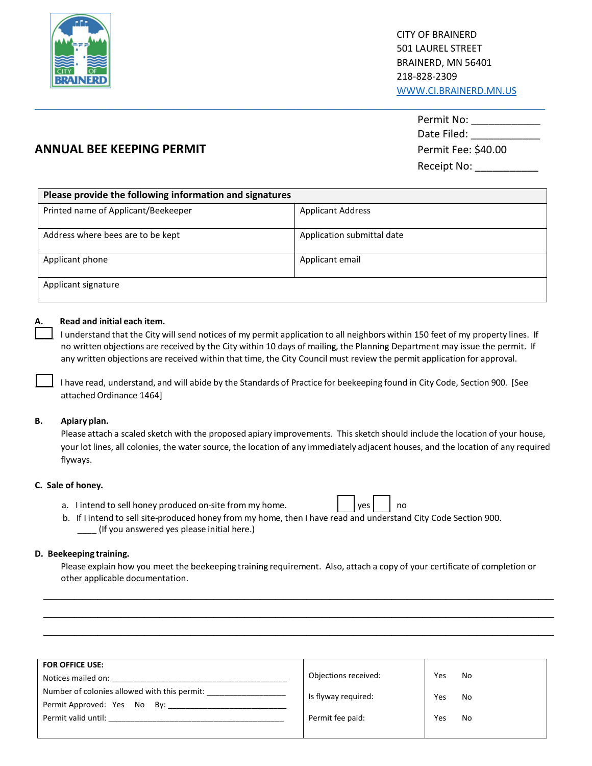

|                           | Permit No:          |  |  |
|---------------------------|---------------------|--|--|
|                           | Date Filed:         |  |  |
| ANNUAL BEE KEEPING PERMIT | Permit Fee: \$40.00 |  |  |
|                           | Receipt No:         |  |  |

# **ANNUAL BEE KEEPING PERMIT**

| Please provide the following information and signatures |                            |
|---------------------------------------------------------|----------------------------|
| Printed name of Applicant/Beekeeper                     | <b>Applicant Address</b>   |
| Address where bees are to be kept                       | Application submittal date |
| Applicant phone                                         | Applicant email            |
| Applicant signature                                     |                            |

\_\_\_\_\_\_\_\_\_\_\_\_\_\_\_\_\_\_\_\_\_\_\_\_\_\_\_\_\_\_\_\_\_\_\_\_\_\_\_\_\_\_\_\_\_\_\_\_\_\_\_\_\_\_\_\_\_\_\_\_\_\_\_\_\_\_\_\_\_\_\_\_\_\_\_\_\_\_\_\_\_\_\_\_\_\_\_\_

## **A. Read and initial each item.**

I understand that the City will send notices of my permit application to all neighbors within 150 feet of my property lines. If no written objections are received by the City within 10 days of mailing, the Planning Department may issue the permit. If any written objections are received within that time, the City Council must review the permit application for approval.

I have read, understand, and will abide by the Standards of Practice for beekeeping found in City Code, Section 900. [See attached Ordinance 1464]

#### **B. Apiary plan.**

Please attach a scaled sketch with the proposed apiary improvements. This sketch should include the location of your house, your lot lines, all colonies, the water source, the location of any immediately adjacent houses, and the location of any required flyways.

#### **C. Sale of honey.**

a. I intend to sell honey produced on-site from my home.  $\vert \vert$  | yes | | no



b. If I intend to sell site-produced honey from my home, then I have read and understand City Code Section 900. \_\_\_\_ (If you answered yes please initial here.)

#### **D. Beekeeping training.**

Please explain how you meet the beekeeping training requirement. Also, attach a copy of your certificate of completion or other applicable documentation.

\_\_\_\_\_\_\_\_\_\_\_\_\_\_\_\_\_\_\_\_\_\_\_\_\_\_\_\_\_\_\_\_\_\_\_\_\_\_\_\_\_\_\_\_\_\_\_\_\_\_\_\_\_\_\_\_\_\_\_\_\_\_\_\_\_\_  $\overline{a}$  , and the contribution of the contribution of the contribution of the contribution of the contribution of the contribution of the contribution of the contribution of the contribution of the contribution of the co  $\overline{a}$  , and the contribution of the contribution of the contribution of the contribution of the contribution of the contribution of the contribution of the contribution of the contribution of the contribution of the co

| <b>FOR OFFICE USE:</b><br>Notices mailed on:<br>Number of colonies allowed with this permit: _______________<br>Permit Approved: Yes No By:<br>Permit valid until: | Objections received:<br>Is flyway required: | Yes<br>Yes<br>Yes | No<br>No<br>No |
|--------------------------------------------------------------------------------------------------------------------------------------------------------------------|---------------------------------------------|-------------------|----------------|
|                                                                                                                                                                    | Permit fee paid:                            |                   |                |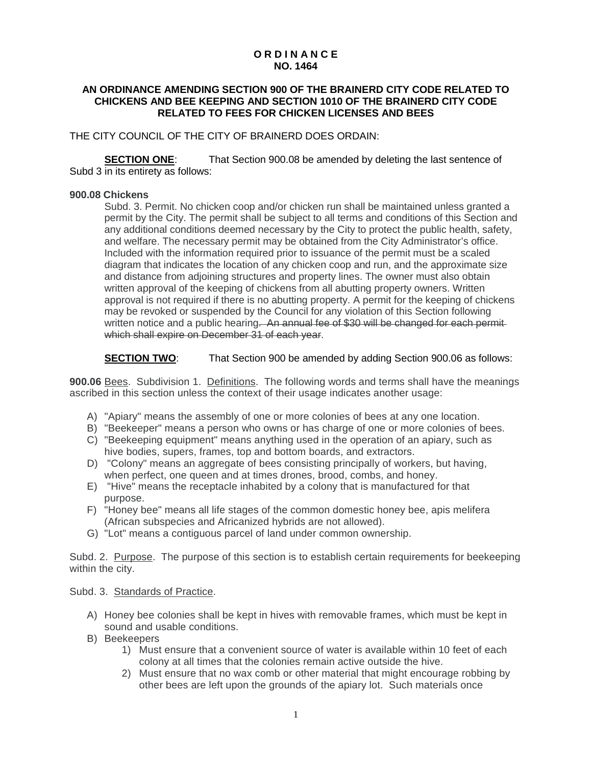## **O R D I N A N C E NO. 1464**

## **AN ORDINANCE AMENDING SECTION 900 OF THE BRAINERD CITY CODE RELATED TO CHICKENS AND BEE KEEPING AND SECTION 1010 OF THE BRAINERD CITY CODE RELATED TO FEES FOR CHICKEN LICENSES AND BEES**

THE CITY COUNCIL OF THE CITY OF BRAINERD DOES ORDAIN:

**SECTION ONE:** That Section 900.08 be amended by deleting the last sentence of Subd 3 in its entirety as follows:

## **900.08 Chickens**

Subd. 3. Permit. No chicken coop and/or chicken run shall be maintained unless granted a permit by the City. The permit shall be subject to all terms and conditions of this Section and any additional conditions deemed necessary by the City to protect the public health, safety, and welfare. The necessary permit may be obtained from the City Administrator's office. Included with the information required prior to issuance of the permit must be a scaled diagram that indicates the location of any chicken coop and run, and the approximate size and distance from adjoining structures and property lines. The owner must also obtain written approval of the keeping of chickens from all abutting property owners. Written approval is not required if there is no abutting property. A permit for the keeping of chickens may be revoked or suspended by the Council for any violation of this Section following written notice and a public hearing. An annual fee of \$30 will be changed for each permitwhich shall expire on December 31 of each year.

## **SECTION TWO:** That Section 900 be amended by adding Section 900.06 as follows:

**900.06** Bees. Subdivision 1. Definitions. The following words and terms shall have the meanings ascribed in this section unless the context of their usage indicates another usage:

- A) "Apiary" means the assembly of one or more colonies of bees at any one location.
- B) "Beekeeper" means a person who owns or has charge of one or more colonies of bees.
- C) "Beekeeping equipment" means anything used in the operation of an apiary, such as hive bodies, supers, frames, top and bottom boards, and extractors.
- D) "Colony" means an aggregate of bees consisting principally of workers, but having, when perfect, one queen and at times drones, brood, combs, and honey.
- E) "Hive" means the receptacle inhabited by a colony that is manufactured for that purpose.
- F) "Honey bee" means all life stages of the common domestic honey bee, apis melifera (African subspecies and Africanized hybrids are not allowed).
- G) "Lot" means a contiguous parcel of land under common ownership.

Subd. 2. Purpose. The purpose of this section is to establish certain requirements for beekeeping within the city.

Subd. 3. Standards of Practice.

- A) Honey bee colonies shall be kept in hives with removable frames, which must be kept in sound and usable conditions.
- B) Beekeepers
	- 1) Must ensure that a convenient source of water is available within 10 feet of each colony at all times that the colonies remain active outside the hive.
	- 2) Must ensure that no wax comb or other material that might encourage robbing by other bees are left upon the grounds of the apiary lot. Such materials once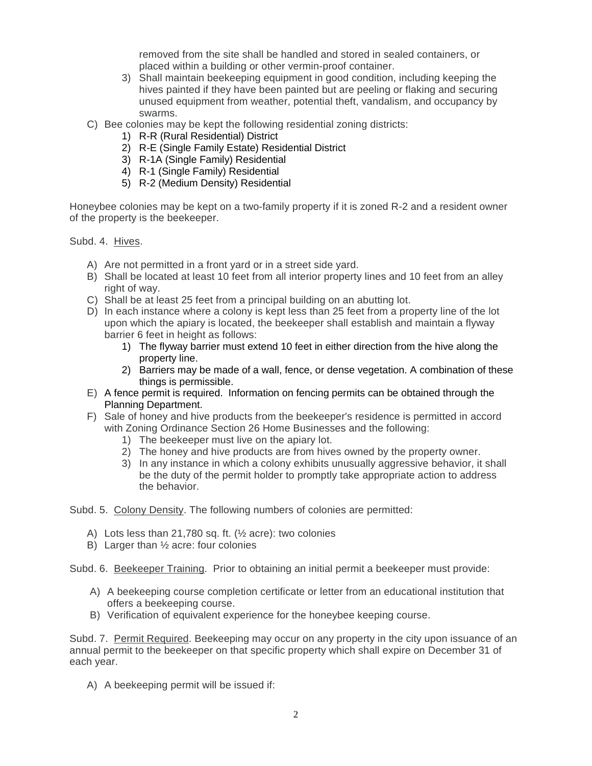removed from the site shall be handled and stored in sealed containers, or placed within a building or other vermin-proof container.

- 3) Shall maintain beekeeping equipment in good condition, including keeping the hives painted if they have been painted but are peeling or flaking and securing unused equipment from weather, potential theft, vandalism, and occupancy by swarms.
- C) Bee colonies may be kept the following residential zoning districts:
	- 1) R-R (Rural Residential) District
		- 2) R-E (Single Family Estate) Residential District
		- 3) R-1A (Single Family) Residential
		- 4) R-1 (Single Family) Residential
	- 5) R-2 (Medium Density) Residential

Honeybee colonies may be kept on a two-family property if it is zoned R-2 and a resident owner of the property is the beekeeper.

Subd. 4. Hives.

- A) Are not permitted in a front yard or in a street side yard.
- B) Shall be located at least 10 feet from all interior property lines and 10 feet from an alley right of way.
- C) Shall be at least 25 feet from a principal building on an abutting lot.
- D) In each instance where a colony is kept less than 25 feet from a property line of the lot upon which the apiary is located, the beekeeper shall establish and maintain a flyway barrier 6 feet in height as follows:
	- 1) The flyway barrier must extend 10 feet in either direction from the hive along the property line.
	- 2) Barriers may be made of a wall, fence, or dense vegetation. A combination of these things is permissible.
- E) A fence permit is required. Information on fencing permits can be obtained through the Planning Department.
- F) Sale of honey and hive products from the beekeeper's residence is permitted in accord with Zoning Ordinance Section 26 Home Businesses and the following:
	- 1) The beekeeper must live on the apiary lot.
	- 2) The honey and hive products are from hives owned by the property owner.
	- 3) In any instance in which a colony exhibits unusually aggressive behavior, it shall be the duty of the permit holder to promptly take appropriate action to address the behavior.

Subd. 5. Colony Density. The following numbers of colonies are permitted:

- A) Lots less than 21,780 sq. ft.  $(\frac{1}{2})$  acre): two colonies
- B) Larger than ½ acre: four colonies

Subd. 6. Beekeeper Training. Prior to obtaining an initial permit a beekeeper must provide:

- A) A beekeeping course completion certificate or letter from an educational institution that offers a beekeeping course.
- B) Verification of equivalent experience for the honeybee keeping course.

Subd. 7. Permit Required. Beekeeping may occur on any property in the city upon issuance of an annual permit to the beekeeper on that specific property which shall expire on December 31 of each year.

A) A beekeeping permit will be issued if: